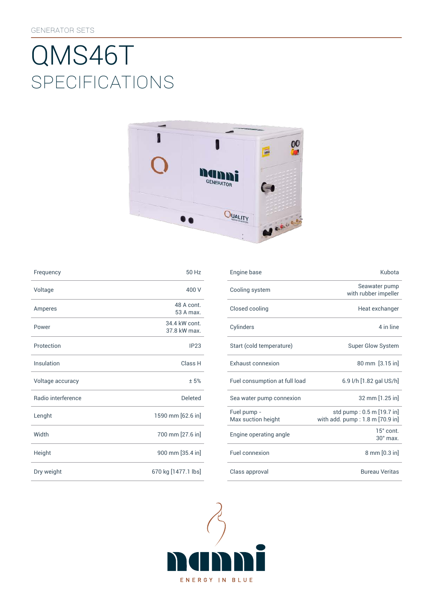# SpEcificATiONS QMS46T



| Frequency          | 50 Hz                         | Engine base                |
|--------------------|-------------------------------|----------------------------|
| Voltage            | 400 V                         | Cooling syst               |
| Amperes            | 48 A cont.<br>53 A max.       | Closed cooli               |
| Power              | 34.4 kW cont.<br>37.8 kW max. | Cylinders                  |
| Protection         | IP23                          | Start (cold te             |
| Insulation         | Class H                       | Exhaust con                |
| Voltage accuracy   | ±5%                           | Fuel consum                |
| Radio interference | <b>Deleted</b>                | Sea water pu               |
| Lenght             | 1590 mm [62.6 in]             | Fuel pump -<br>Max suction |
| Width              | 700 mm [27.6 in]              | Engine opera               |
| Height             | 900 mm [35.4 in]              | Fuel connexi               |
| Dry weight         | 670 kg [1477.1 lbs]           | Class approv               |
|                    |                               |                            |

| Frequency          | 50 Hz                         | Engine base                       | Kubota                                                       |
|--------------------|-------------------------------|-----------------------------------|--------------------------------------------------------------|
| Voltage            | 400 V                         | Cooling system                    | Seawater pump<br>with rubber impeller                        |
| Amperes            | 48 A cont.<br>53 A max.       | Closed cooling                    | Heat exchanger                                               |
| Power              | 34.4 kW cont.<br>37.8 kW max. | Cylinders                         | 4 in line                                                    |
| Protection         | IP23                          | Start (cold temperature)          | Super Glow System                                            |
| Insulation         | Class H                       | <b>Exhaust connexion</b>          | 80 mm [3.15 in]                                              |
| Voltage accuracy   | ±5%                           | Fuel consumption at full load     | 6.9 l/h [1.82 gal US/h]                                      |
| Radio interference | Deleted                       | Sea water pump connexion          | 32 mm [1.25 in]                                              |
| Lenght             | 1590 mm [62.6 in]             | Fuel pump -<br>Max suction height | std pump: 0.5 m [19.7 in]<br>with add. pump: 1.8 m [70.9 in] |
| Width              | 700 mm [27.6 in]              | Engine operating angle            | 15° cont.<br>$30^\circ$ max.                                 |
| Height             | 900 mm [35.4 in]              | Fuel connexion                    | 8 mm [0.3 in]                                                |
| Dry weight         | 670 kg [1477.1 lbs]           | Class approval                    | <b>Bureau Veritas</b>                                        |